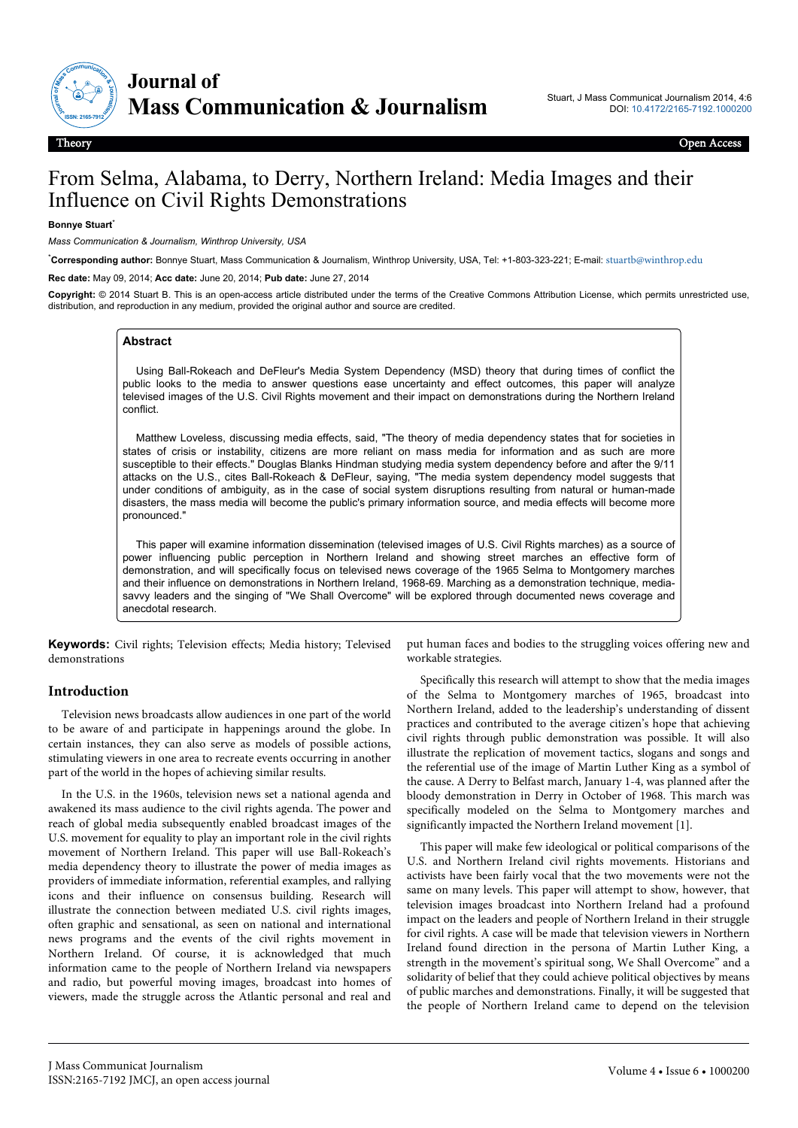

**Journal of Mass Communication & Journalism** 

# From Selma, Alabama, to Derry, Northern Ireland: Media Images and their Influence on Civil Rights Demonstrations

#### **Bonnye Stuart**

*Mass Communication & Journalism, Winthrop University, USA*

\***Corresponding author:** Bonnye Stuart, Mass Communication & Journalism, Winthrop University, USA, Tel: +1-803-323-221; E-mail: [stuartb@winthrop.edu](mailto:stuartb@winthrop.edu)

**Rec date:** May 09, 2014; **Acc date:** June 20, 2014; **Pub date:** June 27, 2014

**Copyright:** © 2014 Stuart B. This is an open-access article distributed under the terms of the Creative Commons Attribution License, which permits unrestricted use, distribution, and reproduction in any medium, provided the original author and source are credited.

#### **Abstract**

Using Ball-Rokeach and DeFleur's Media System Dependency (MSD) theory that during times of conflict the public looks to the media to answer questions ease uncertainty and effect outcomes, this paper will analyze televised images of the U.S. Civil Rights movement and their impact on demonstrations during the Northern Ireland conflict.

Matthew Loveless, discussing media effects, said, "The theory of media dependency states that for societies in states of crisis or instability, citizens are more reliant on mass media for information and as such are more susceptible to their effects." Douglas Blanks Hindman studying media system dependency before and after the 9/11 attacks on the U.S., cites Ball-Rokeach & DeFleur, saying, "The media system dependency model suggests that under conditions of ambiguity, as in the case of social system disruptions resulting from natural or human-made disasters, the mass media will become the public's primary information source, and media effects will become more pronounced."

This paper will examine information dissemination (televised images of U.S. Civil Rights marches) as a source of power influencing public perception in Northern Ireland and showing street marches an effective form of demonstration, and will specifically focus on televised news coverage of the 1965 Selma to Montgomery marches and their influence on demonstrations in Northern Ireland, 1968-69. Marching as a demonstration technique, mediasavvy leaders and the singing of "We Shall Overcome" will be explored through documented news coverage and anecdotal research.

**Keywords:** Civil rights; Television effects; Media history; Televised demonstrations

## **Introduction**

Television news broadcasts allow audiences in one part of the world to be aware of and participate in happenings around the globe. In certain instances, they can also serve as models of possible actions, stimulating viewers in one area to recreate events occurring in another part of the world in the hopes of achieving similar results.

In the U.S. in the 1960s, television news set a national agenda and awakened its mass audience to the civil rights agenda. The power and reach of global media subsequently enabled broadcast images of the U.S. movement for equality to play an important role in the civil rights movement of Northern Ireland. This paper will use Ball-Rokeach's media dependency theory to illustrate the power of media images as providers of immediate information, referential examples, and rallying icons and their influence on consensus building. Research will illustrate the connection between mediated U.S. civil rights images, often graphic and sensational, as seen on national and international news programs and the events of the civil rights movement in Northern Ireland. Of course, it is acknowledged that much information came to the people of Northern Ireland via newspapers and radio, but powerful moving images, broadcast into homes of viewers, made the struggle across the Atlantic personal and real and

put human faces and bodies to the struggling voices offering new and workable strategies.

Specifically this research will attempt to show that the media images of the Selma to Montgomery marches of 1965, broadcast into Northern Ireland, added to the leadership's understanding of dissent practices and contributed to the average citizen's hope that achieving civil rights through public demonstration was possible. It will also illustrate the replication of movement tactics, slogans and songs and the referential use of the image of Martin Luther King as a symbol of the cause. A Derry to Belfast march, January 1-4, was planned after the bloody demonstration in Derry in October of 1968. This march was specifically modeled on the Selma to Montgomery marches and significantly impacted the Northern Ireland movement [1].

This paper will make few ideological or political comparisons of the U.S. and Northern Ireland civil rights movements. Historians and activists have been fairly vocal that the two movements were not the same on many levels. This paper will attempt to show, however, that television images broadcast into Northern Ireland had a profound impact on the leaders and people of Northern Ireland in their struggle for civil rights. A case will be made that television viewers in Northern Ireland found direction in the persona of Martin Luther King, a strength in the movement's spiritual song, We Shall Overcome" and a solidarity of belief that they could achieve political objectives by means of public marches and demonstrations. Finally, it will be suggested that the people of Northern Ireland came to depend on the television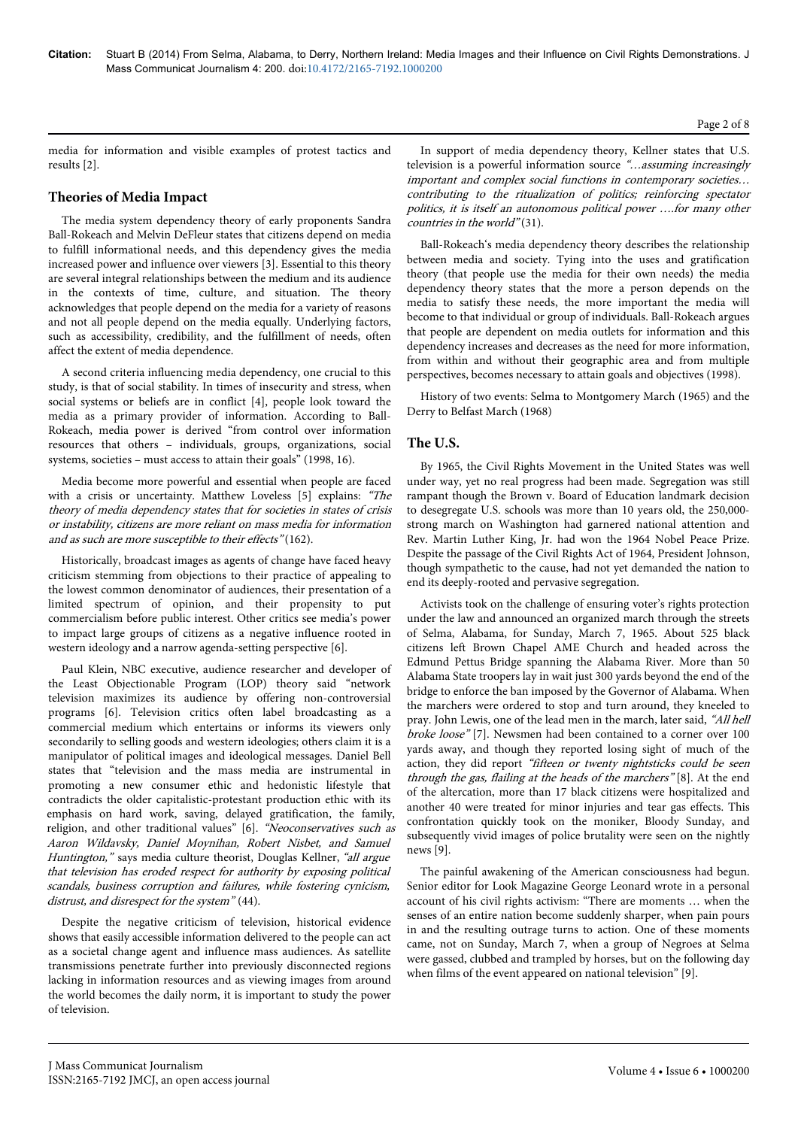media for information and visible examples of protest tactics and results [2].

# **Theories of Media Impact**

The media system dependency theory of early proponents Sandra Ball-Rokeach and Melvin DeFleur states that citizens depend on media to fulfill informational needs, and this dependency gives the media increased power and influence over viewers [3]. Essential to this theory are several integral relationships between the medium and its audience in the contexts of time, culture, and situation. The theory acknowledges that people depend on the media for a variety of reasons and not all people depend on the media equally. Underlying factors, such as accessibility, credibility, and the fulfillment of needs, often affect the extent of media dependence.

A second criteria influencing media dependency, one crucial to this study, is that of social stability. In times of insecurity and stress, when social systems or beliefs are in conflict [4], people look toward the media as a primary provider of information. According to Ball-Rokeach, media power is derived "from control over information resources that others – individuals, groups, organizations, social systems, societies – must access to attain their goals" (1998, 16).

Media become more powerful and essential when people are faced with a crisis or uncertainty. Matthew Loveless [5] explains: "The theory of media dependency states that for societies in states of crisis or instability, citizens are more reliant on mass media for information and as such are more susceptible to their effects"(162).

Historically, broadcast images as agents of change have faced heavy criticism stemming from objections to their practice of appealing to the lowest common denominator of audiences, their presentation of a limited spectrum of opinion, and their propensity to put commercialism before public interest. Other critics see media's power to impact large groups of citizens as a negative influence rooted in western ideology and a narrow agenda-setting perspective [6].

Paul Klein, NBC executive, audience researcher and developer of the Least Objectionable Program (LOP) theory said "network television maximizes its audience by offering non-controversial programs [6]. Television critics often label broadcasting as a commercial medium which entertains or informs its viewers only secondarily to selling goods and western ideologies; others claim it is a manipulator of political images and ideological messages. Daniel Bell states that "television and the mass media are instrumental in promoting a new consumer ethic and hedonistic lifestyle that contradicts the older capitalistic-protestant production ethic with its emphasis on hard work, saving, delayed gratification, the family, religion, and other traditional values" [6]. "Neoconservatives such as Aaron Wildavsky, Daniel Moynihan, Robert Nisbet, and Samuel Huntington," says media culture theorist, Douglas Kellner, "all argue that television has eroded respect for authority by exposing political scandals, business corruption and failures, while fostering cynicism, distrust, and disrespect for the system" (44).

Despite the negative criticism of television, historical evidence shows that easily accessible information delivered to the people can act as a societal change agent and influence mass audiences. As satellite transmissions penetrate further into previously disconnected regions lacking in information resources and as viewing images from around the world becomes the daily norm, it is important to study the power of television.

In support of media dependency theory, Kellner states that U.S. television is a powerful information source "…assuming increasingly important and complex social functions in contemporary societies… contributing to the ritualization of politics; reinforcing spectator politics, it is itself an autonomous political power ….for many other countries in the world" (31).

Ball-Rokeach's media dependency theory describes the relationship between media and society. Tying into the uses and gratification theory (that people use the media for their own needs) the media dependency theory states that the more a person depends on the media to satisfy these needs, the more important the media will become to that individual or group of individuals. Ball-Rokeach argues that people are dependent on media outlets for information and this dependency increases and decreases as the need for more information, from within and without their geographic area and from multiple perspectives, becomes necessary to attain goals and objectives (1998).

History of two events: Selma to Montgomery March (1965) and the Derry to Belfast March (1968)

## **The U.S.**

By 1965, the Civil Rights Movement in the United States was well under way, yet no real progress had been made. Segregation was still rampant though the Brown v. Board of Education landmark decision to desegregate U.S. schools was more than 10 years old, the 250,000 strong march on Washington had garnered national attention and Rev. Martin Luther King, Jr. had won the 1964 Nobel Peace Prize. Despite the passage of the Civil Rights Act of 1964, President Johnson, though sympathetic to the cause, had not yet demanded the nation to end its deeply-rooted and pervasive segregation.

Activists took on the challenge of ensuring voter's rights protection under the law and announced an organized march through the streets of Selma, Alabama, for Sunday, March 7, 1965. About 525 black citizens left Brown Chapel AME Church and headed across the Edmund Pettus Bridge spanning the Alabama River. More than 50 Alabama State troopers lay in wait just 300 yards beyond the end of the bridge to enforce the ban imposed by the Governor of Alabama. When the marchers were ordered to stop and turn around, they kneeled to pray. John Lewis, one of the lead men in the march, later said, "All hell broke loose" [7]. Newsmen had been contained to a corner over 100 yards away, and though they reported losing sight of much of the action, they did report "fifteen or twenty nightsticks could be seen through the gas, flailing at the heads of the marchers" [8]. At the end of the altercation, more than 17 black citizens were hospitalized and another 40 were treated for minor injuries and tear gas effects. This confrontation quickly took on the moniker, Bloody Sunday, and subsequently vivid images of police brutality were seen on the nightly news [9].

The painful awakening of the American consciousness had begun. Senior editor for Look Magazine George Leonard wrote in a personal account of his civil rights activism: "There are moments … when the senses of an entire nation become suddenly sharper, when pain pours in and the resulting outrage turns to action. One of these moments came, not on Sunday, March 7, when a group of Negroes at Selma were gassed, clubbed and trampled by horses, but on the following day when films of the event appeared on national television" [9].

#### Page 2 of 8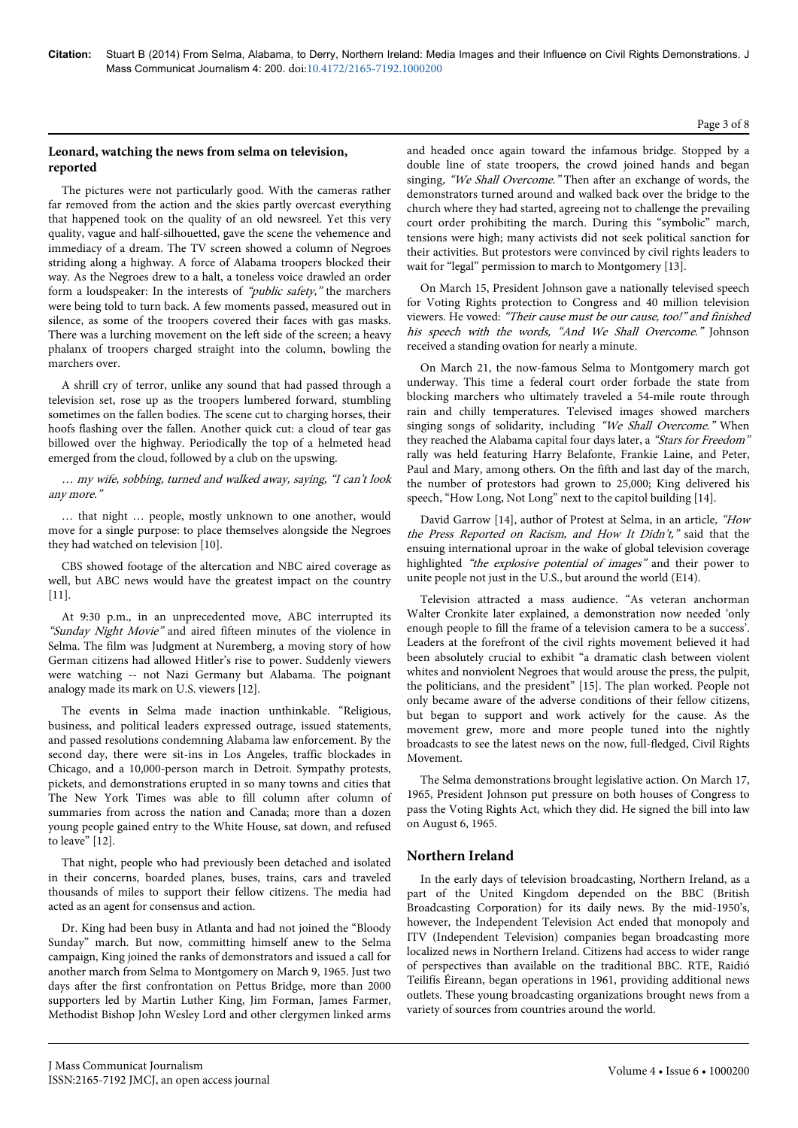## **Leonard, watching the news from selma on television, reported**

The pictures were not particularly good. With the cameras rather far removed from the action and the skies partly overcast everything that happened took on the quality of an old newsreel. Yet this very quality, vague and half-silhouetted, gave the scene the vehemence and immediacy of a dream. The TV screen showed a column of Negroes striding along a highway. A force of Alabama troopers blocked their way. As the Negroes drew to a halt, a toneless voice drawled an order form a loudspeaker: In the interests of "public safety," the marchers were being told to turn back. A few moments passed, measured out in silence, as some of the troopers covered their faces with gas masks. There was a lurching movement on the left side of the screen; a heavy phalanx of troopers charged straight into the column, bowling the marchers over.

A shrill cry of terror, unlike any sound that had passed through a television set, rose up as the troopers lumbered forward, stumbling sometimes on the fallen bodies. The scene cut to charging horses, their hoofs flashing over the fallen. Another quick cut: a cloud of tear gas billowed over the highway. Periodically the top of a helmeted head emerged from the cloud, followed by a club on the upswing.

… my wife, sobbing, turned and walked away, saying, "I can't look any more."

… that night … people, mostly unknown to one another, would move for a single purpose: to place themselves alongside the Negroes they had watched on television [10].

CBS showed footage of the altercation and NBC aired coverage as well, but ABC news would have the greatest impact on the country  $[11]$ .

At 9:30 p.m., in an unprecedented move, ABC interrupted its "Sunday Night Movie" and aired fifteen minutes of the violence in Selma. The film was Judgment at Nuremberg, a moving story of how German citizens had allowed Hitler's rise to power. Suddenly viewers were watching -- not Nazi Germany but Alabama. The poignant analogy made its mark on U.S. viewers [12].

The events in Selma made inaction unthinkable. "Religious, business, and political leaders expressed outrage, issued statements, and passed resolutions condemning Alabama law enforcement. By the second day, there were sit-ins in Los Angeles, traffic blockades in Chicago, and a 10,000-person march in Detroit. Sympathy protests, pickets, and demonstrations erupted in so many towns and cities that The New York Times was able to fill column after column of summaries from across the nation and Canada; more than a dozen young people gained entry to the White House, sat down, and refused to leave" [12].

That night, people who had previously been detached and isolated in their concerns, boarded planes, buses, trains, cars and traveled thousands of miles to support their fellow citizens. The media had acted as an agent for consensus and action.

Dr. King had been busy in Atlanta and had not joined the "Bloody Sunday" march. But now, committing himself anew to the Selma campaign, King joined the ranks of demonstrators and issued a call for another march from Selma to Montgomery on March 9, 1965. Just two days after the first confrontation on Pettus Bridge, more than 2000 supporters led by Martin Luther King, Jim Forman, James Farmer, Methodist Bishop John Wesley Lord and other clergymen linked arms

and headed once again toward the infamous bridge. Stopped by a double line of state troopers, the crowd joined hands and began singing, "We Shall Overcome." Then after an exchange of words, the demonstrators turned around and walked back over the bridge to the church where they had started, agreeing not to challenge the prevailing court order prohibiting the march. During this "symbolic" march, tensions were high; many activists did not seek political sanction for their activities. But protestors were convinced by civil rights leaders to wait for "legal" permission to march to Montgomery [13].

On March 15, President Johnson gave a nationally televised speech for Voting Rights protection to Congress and 40 million television viewers. He vowed: "Their cause must be our cause, too!" and finished his speech with the words, "And We Shall Overcome." Johnson received a standing ovation for nearly a minute.

On March 21, the now-famous Selma to Montgomery march got underway. This time a federal court order forbade the state from blocking marchers who ultimately traveled a 54-mile route through rain and chilly temperatures. Televised images showed marchers singing songs of solidarity, including "We Shall Overcome." When they reached the Alabama capital four days later, a "Stars for Freedom" rally was held featuring Harry Belafonte, Frankie Laine, and Peter, Paul and Mary, among others. On the fifth and last day of the march, the number of protestors had grown to 25,000; King delivered his speech, "How Long, Not Long" next to the capitol building [14].

David Garrow [14], author of Protest at Selma, in an article, "How the Press Reported on Racism, and How It Didn't," said that the ensuing international uproar in the wake of global television coverage highlighted "the explosive potential of images" and their power to unite people not just in the U.S., but around the world (E14).

Television attracted a mass audience. "As veteran anchorman Walter Cronkite later explained, a demonstration now needed 'only enough people to fill the frame of a television camera to be a success'. Leaders at the forefront of the civil rights movement believed it had been absolutely crucial to exhibit "a dramatic clash between violent whites and nonviolent Negroes that would arouse the press, the pulpit, the politicians, and the president" [15]. The plan worked. People not only became aware of the adverse conditions of their fellow citizens, but began to support and work actively for the cause. As the movement grew, more and more people tuned into the nightly broadcasts to see the latest news on the now, full-fledged, Civil Rights Movement.

The Selma demonstrations brought legislative action. On March 17, 1965, President Johnson put pressure on both houses of Congress to pass the Voting Rights Act, which they did. He signed the bill into law on August 6, 1965.

# **Northern Ireland**

In the early days of television broadcasting, Northern Ireland, as a part of the United Kingdom depended on the BBC (British Broadcasting Corporation) for its daily news. By the mid-1950's, however, the Independent Television Act ended that monopoly and ITV (Independent Television) companies began broadcasting more localized news in Northern Ireland. Citizens had access to wider range of perspectives than available on the traditional BBC. RTE, Raidió Teilifís Éireann, began operations in 1961, providing additional news outlets. These young broadcasting organizations brought news from a variety of sources from countries around the world.

## Page 3 of 8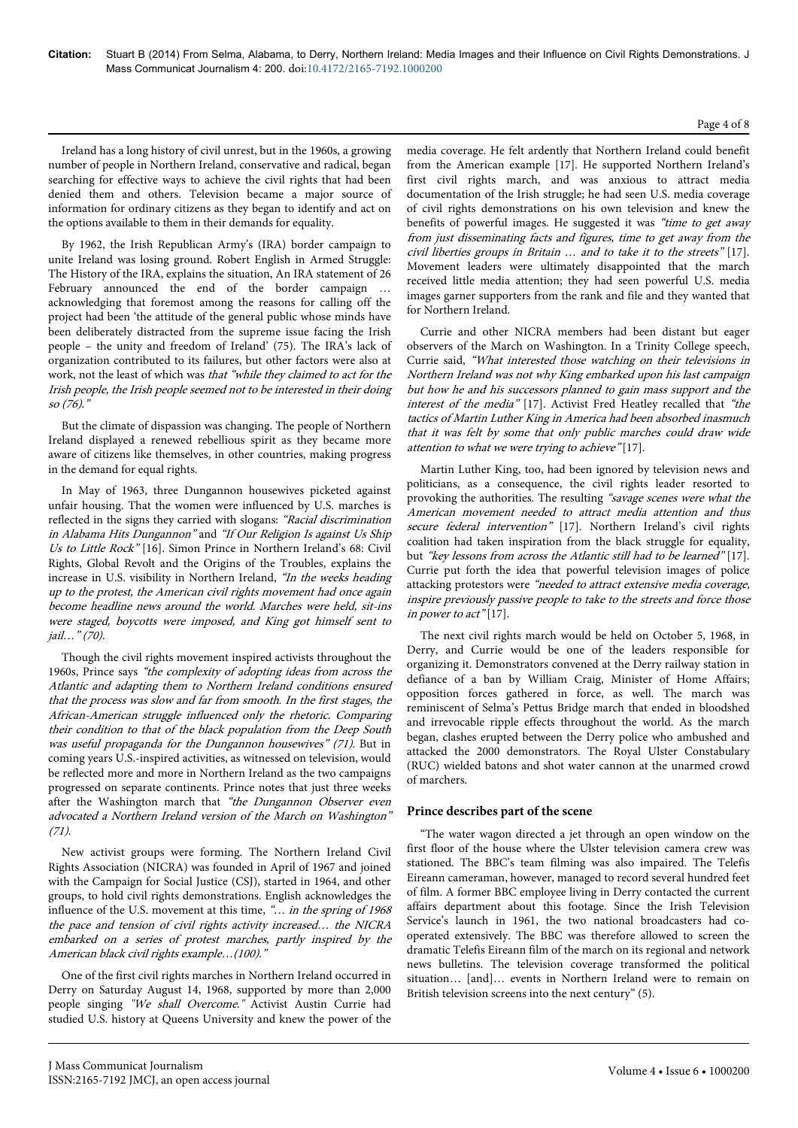#### Page 4 of 8

Ireland has a long history of civil unrest, but in the 1960s, a growing number of people in Northern Ireland, conservative and radical, began searching for effective ways to achieve the civil rights that had been denied them and others. Television became a major source of information for ordinary citizens as they began to identify and act on the options available to them in their demands for equality.

By 1962, the Irish Republican Army's (IRA) border campaign to unite Ireland was losing ground. Robert English in Armed Struggle: The History of the IRA, explains the situation, An IRA statement of 26 February announced the end of the border campaign … acknowledging that foremost among the reasons for calling off the project had been 'the attitude of the general public whose minds have been deliberately distracted from the supreme issue facing the Irish people – the unity and freedom of Ireland' (75). The IRA's lack of organization contributed to its failures, but other factors were also at work, not the least of which was that "while they claimed to act for the Irish people, the Irish people seemed not to be interested in their doing so (76)."

But the climate of dispassion was changing. The people of Northern Ireland displayed a renewed rebellious spirit as they became more aware of citizens like themselves, in other countries, making progress in the demand for equal rights.

In May of 1963, three Dungannon housewives picketed against unfair housing. That the women were influenced by U.S. marches is reflected in the signs they carried with slogans: "Racial discrimination in Alabama Hits Dungannon" and "If Our Religion Is against Us Ship Us to Little Rock" [16]. Simon Prince in Northern Ireland's 68: Civil Rights, Global Revolt and the Origins of the Troubles, explains the increase in U.S. visibility in Northern Ireland, "In the weeks heading up to the protest, the American civil rights movement had once again become headline news around the world. Marches were held, sit-ins were staged, boycotts were imposed, and King got himself sent to jail…" (70).

Though the civil rights movement inspired activists throughout the 1960s, Prince says "the complexity of adopting ideas from across the Atlantic and adapting them to Northern Ireland conditions ensured that the process was slow and far from smooth. In the first stages, the African-American struggle influenced only the rhetoric. Comparing their condition to that of the black population from the Deep South was useful propaganda for the Dungannon housewives" (71). But in coming years U.S.-inspired activities, as witnessed on television, would be reflected more and more in Northern Ireland as the two campaigns progressed on separate continents. Prince notes that just three weeks after the Washington march that "the Dungannon Observer even advocated a Northern Ireland version of the March on Washington" (71).

New activist groups were forming. The Northern Ireland Civil Rights Association (NICRA) was founded in April of 1967 and joined with the Campaign for Social Justice (CSJ), started in 1964, and other groups, to hold civil rights demonstrations. English acknowledges the influence of the U.S. movement at this time, "… in the spring of 1968 the pace and tension of civil rights activity increased… the NICRA embarked on a series of protest marches, partly inspired by the American black civil rights example...(100).

One of the first civil rights marches in Northern Ireland occurred in Derry on Saturday August 14, 1968, supported by more than 2,000 people singing "We shall Overcome." Activist Austin Currie had studied U.S. history at Queens University and knew the power of the

media coverage. He felt ardently that Northern Ireland could benefit from the American example [17]. He supported Northern Ireland's first civil rights march, and was anxious to attract media documentation of the Irish struggle; he had seen U.S. media coverage of civil rights demonstrations on his own television and knew the benefits of powerful images. He suggested it was "time to get away from just disseminating facts and figures, time to get away from the civil liberties groups in Britain … and to take it to the streets" [17]. Movement leaders were ultimately disappointed that the march received little media attention; they had seen powerful U.S. media images garner supporters from the rank and file and they wanted that for Northern Ireland.

Currie and other NICRA members had been distant but eager observers of the March on Washington. In a Trinity College speech, Currie said, "What interested those watching on their televisions in Northern Ireland was not why King embarked upon his last campaign but how he and his successors planned to gain mass support and the interest of the media" [17]. Activist Fred Heatley recalled that "the tactics of Martin Luther King in America had been absorbed inasmuch that it was felt by some that only public marches could draw wide attention to what we were trying to achieve"[17].

Martin Luther King, too, had been ignored by television news and politicians, as a consequence, the civil rights leader resorted to provoking the authorities. The resulting "savage scenes were what the American movement needed to attract media attention and thus secure federal intervention" [17]. Northern Ireland's civil rights coalition had taken inspiration from the black struggle for equality, but "key lessons from across the Atlantic still had to be learned" [17]. Currie put forth the idea that powerful television images of police attacking protestors were "needed to attract extensive media coverage, inspire previously passive people to take to the streets and force those in power to act"[17].

The next civil rights march would be held on October 5, 1968, in Derry, and Currie would be one of the leaders responsible for organizing it. Demonstrators convened at the Derry railway station in defiance of a ban by William Craig, Minister of Home Affairs; opposition forces gathered in force, as well. The march was reminiscent of Selma's Pettus Bridge march that ended in bloodshed and irrevocable ripple effects throughout the world. As the march began, clashes erupted between the Derry police who ambushed and attacked the 2000 demonstrators. The Royal Ulster Constabulary (RUC) wielded batons and shot water cannon at the unarmed crowd of marchers.

### **Prince describes part of the scene**

"The water wagon directed a jet through an open window on the first floor of the house where the Ulster television camera crew was stationed. The BBC's team filming was also impaired. The Telefis Eireann cameraman, however, managed to record several hundred feet of film. A former BBC employee living in Derry contacted the current affairs department about this footage. Since the Irish Television Service's launch in 1961, the two national broadcasters had cooperated extensively. The BBC was therefore allowed to screen the dramatic Telefis Eireann film of the march on its regional and network news bulletins. The television coverage transformed the political situation… [and]… events in Northern Ireland were to remain on British television screens into the next century" (5).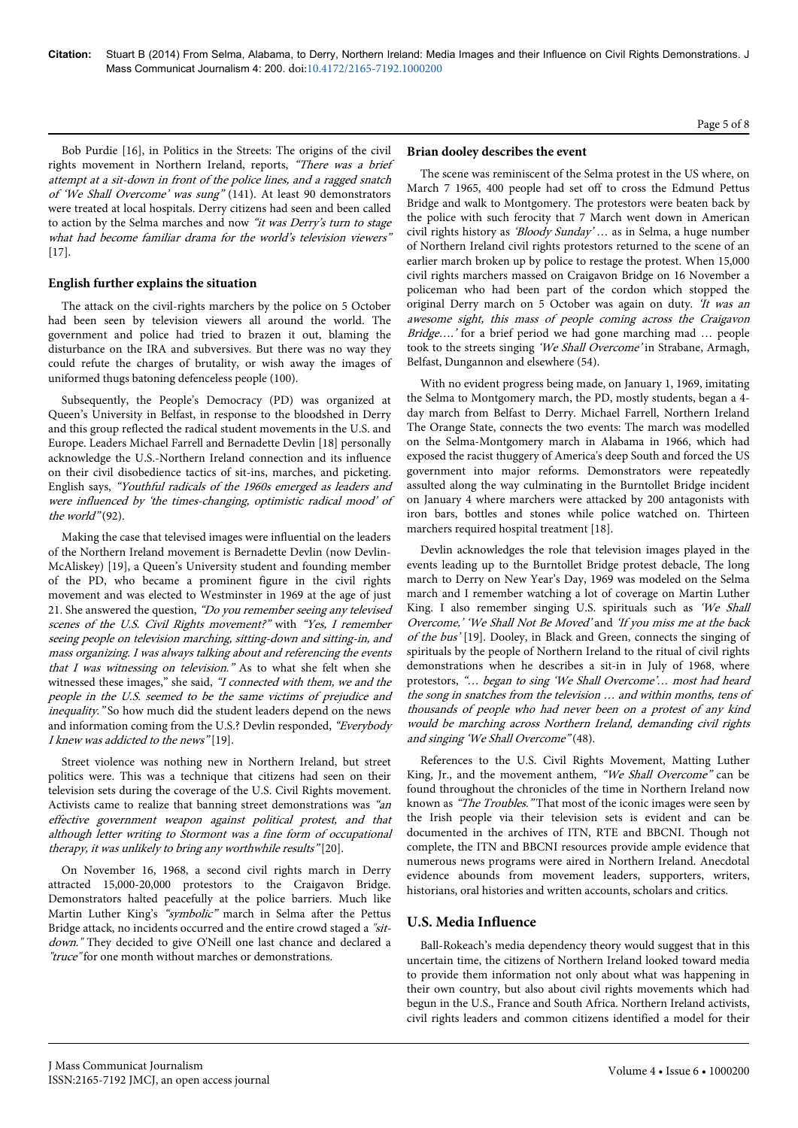Bob Purdie [16], in Politics in the Streets: The origins of the civil rights movement in Northern Ireland, reports, "There was a brief attempt at a sit-down in front of the police lines, and a ragged snatch of 'We Shall Overcome' was sung" (141). At least 90 demonstrators were treated at local hospitals. Derry citizens had seen and been called to action by the Selma marches and now "it was Derry's turn to stage what had become familiar drama for the world's television viewers" [17].

## **English further explains the situation**

The attack on the civil-rights marchers by the police on 5 October had been seen by television viewers all around the world. The government and police had tried to brazen it out, blaming the disturbance on the IRA and subversives. But there was no way they could refute the charges of brutality, or wish away the images of uniformed thugs batoning defenceless people (100).

Subsequently, the People's Democracy (PD) was organized at Queen's University in Belfast, in response to the bloodshed in Derry and this group reflected the radical student movements in the U.S. and Europe. Leaders Michael Farrell and Bernadette Devlin [18] personally acknowledge the U.S.-Northern Ireland connection and its influence on their civil disobedience tactics of sit-ins, marches, and picketing. English says, "Youthful radicals of the 1960s emerged as leaders and were influenced by 'the times-changing, optimistic radical mood' of the world" (92).

Making the case that televised images were influential on the leaders of the Northern Ireland movement is Bernadette Devlin (now Devlin-McAliskey) [19], a Queen's University student and founding member of the PD, who became a prominent figure in the civil rights movement and was elected to Westminster in 1969 at the age of just 21. She answered the question, "Do you remember seeing any televised scenes of the U.S. Civil Rights movement?" with "Yes, I remember seeing people on television marching, sitting-down and sitting-in, and mass organizing. I was always talking about and referencing the events that I was witnessing on television." As to what she felt when she witnessed these images," she said, "I connected with them, we and the people in the U.S. seemed to be the same victims of prejudice and inequality." So how much did the student leaders depend on the news and information coming from the U.S.? Devlin responded, "Everybody I knew was addicted to the news" [19].

Street violence was nothing new in Northern Ireland, but street politics were. This was a technique that citizens had seen on their television sets during the coverage of the U.S. Civil Rights movement. Activists came to realize that banning street demonstrations was "an effective government weapon against political protest, and that although letter writing to Stormont was a fine form of occupational therapy, it was unlikely to bring any worthwhile results" [20].

On November 16, 1968, a second civil rights march in Derry attracted 15,000-20,000 protestors to the Craigavon Bridge. Demonstrators halted peacefully at the police barriers. Much like Martin Luther King's "symbolic" march in Selma after the Pettus Bridge attack, no incidents occurred and the entire crowd staged a "sitdown." They decided to give O'Neill one last chance and declared a "truce" for one month without marches or demonstrations.

## **Brian dooley describes the event**

The scene was reminiscent of the Selma protest in the US where, on March 7 1965, 400 people had set off to cross the Edmund Pettus Bridge and walk to Montgomery. The protestors were beaten back by the police with such ferocity that 7 March went down in American civil rights history as 'Bloody Sunday' … as in Selma, a huge number of Northern Ireland civil rights protestors returned to the scene of an earlier march broken up by police to restage the protest. When 15,000 civil rights marchers massed on Craigavon Bridge on 16 November a policeman who had been part of the cordon which stopped the original Derry march on 5 October was again on duty. 'It was an awesome sight, this mass of people coming across the Craigavon Bridge….' for a brief period we had gone marching mad … people took to the streets singing 'We Shall Overcome' in Strabane, Armagh, Belfast, Dungannon and elsewhere (54).

With no evident progress being made, on January 1, 1969, imitating the Selma to Montgomery march, the PD, mostly students, began a 4 day march from Belfast to Derry. Michael Farrell, Northern Ireland The Orange State, connects the two events: The march was modelled on the Selma-Montgomery march in Alabama in 1966, which had exposed the racist thuggery of America's deep South and forced the US government into major reforms. Demonstrators were repeatedly assulted along the way culminating in the Burntollet Bridge incident on January 4 where marchers were attacked by 200 antagonists with iron bars, bottles and stones while police watched on. Thirteen marchers required hospital treatment [18].

Devlin acknowledges the role that television images played in the events leading up to the Burntollet Bridge protest debacle, The long march to Derry on New Year's Day, 1969 was modeled on the Selma march and I remember watching a lot of coverage on Martin Luther King. I also remember singing U.S. spirituals such as 'We Shall Overcome,' 'We Shall Not Be Moved' and 'If you miss me at the back of the bus' [19]. Dooley, in Black and Green, connects the singing of spirituals by the people of Northern Ireland to the ritual of civil rights demonstrations when he describes a sit-in in July of 1968, where protestors, "… began to sing 'We Shall Overcome'… most had heard the song in snatches from the television … and within months, tens of thousands of people who had never been on a protest of any kind would be marching across Northern Ireland, demanding civil rights and singing 'We Shall Overcome" (48).

References to the U.S. Civil Rights Movement, Matting Luther King, Jr., and the movement anthem, "We Shall Overcome" can be found throughout the chronicles of the time in Northern Ireland now known as "The Troubles." That most of the iconic images were seen by the Irish people via their television sets is evident and can be documented in the archives of ITN, RTE and BBCNI. Though not complete, the ITN and BBCNI resources provide ample evidence that numerous news programs were aired in Northern Ireland. Anecdotal evidence abounds from movement leaders, supporters, writers, historians, oral histories and written accounts, scholars and critics.

## **U.S. Media Influence**

Ball-Rokeach's media dependency theory would suggest that in this uncertain time, the citizens of Northern Ireland looked toward media to provide them information not only about what was happening in their own country, but also about civil rights movements which had begun in the U.S., France and South Africa. Northern Ireland activists, civil rights leaders and common citizens identified a model for their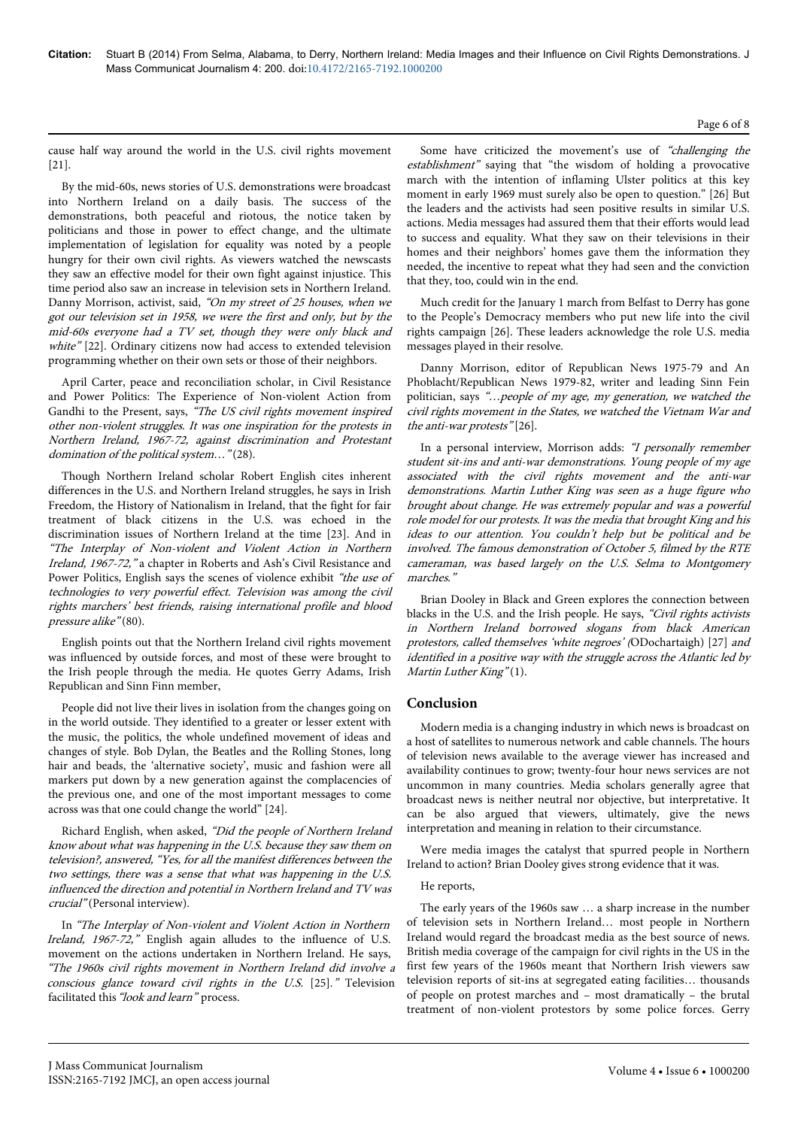#### Page 6 of 8

cause half way around the world in the U.S. civil rights movement [21].

By the mid-60s, news stories of U.S. demonstrations were broadcast into Northern Ireland on a daily basis. The success of the demonstrations, both peaceful and riotous, the notice taken by politicians and those in power to effect change, and the ultimate implementation of legislation for equality was noted by a people hungry for their own civil rights. As viewers watched the newscasts they saw an effective model for their own fight against injustice. This time period also saw an increase in television sets in Northern Ireland. Danny Morrison, activist, said, "On my street of 25 houses, when we got our television set in 1958, we were the first and only, but by the mid-60s everyone had a TV set, though they were only black and white" [22]. Ordinary citizens now had access to extended television programming whether on their own sets or those of their neighbors.

April Carter, peace and reconciliation scholar, in Civil Resistance and Power Politics: The Experience of Non-violent Action from Gandhi to the Present, says, "The US civil rights movement inspired other non-violent struggles. It was one inspiration for the protests in Northern Ireland, 1967-72, against discrimination and Protestant domination of the political system..." (28).

Though Northern Ireland scholar Robert English cites inherent differences in the U.S. and Northern Ireland struggles, he says in Irish Freedom, the History of Nationalism in Ireland, that the fight for fair treatment of black citizens in the U.S. was echoed in the discrimination issues of Northern Ireland at the time [23]. And in "The Interplay of Non-violent and Violent Action in Northern Ireland, 1967-72," a chapter in Roberts and Ash's Civil Resistance and Power Politics, English says the scenes of violence exhibit "the use of technologies to very powerful effect. Television was among the civil rights marchers' best friends, raising international profile and blood pressure alike" (80).

English points out that the Northern Ireland civil rights movement was influenced by outside forces, and most of these were brought to the Irish people through the media. He quotes Gerry Adams, Irish Republican and Sinn Finn member,

People did not live their lives in isolation from the changes going on in the world outside. They identified to a greater or lesser extent with the music, the politics, the whole undefined movement of ideas and changes of style. Bob Dylan, the Beatles and the Rolling Stones, long hair and beads, the 'alternative society', music and fashion were all markers put down by a new generation against the complacencies of the previous one, and one of the most important messages to come across was that one could change the world" [24].

Richard English, when asked, "Did the people of Northern Ireland know about what was happening in the U.S. because they saw them on television?, answered, "Yes, for all the manifest differences between the two settings, there was a sense that what was happening in the U.S. influenced the direction and potential in Northern Ireland and TV was crucial" (Personal interview).

In "The Interplay of Non-violent and Violent Action in Northern Ireland, 1967-72," English again alludes to the influence of U.S. movement on the actions undertaken in Northern Ireland. He says, "The 1960s civil rights movement in Northern Ireland did involve a conscious glance toward civil rights in the U.S. [25]." Television facilitated this "look and learn" process.

Some have criticized the movement's use of "challenging the establishment" saying that "the wisdom of holding a provocative march with the intention of inflaming Ulster politics at this key moment in early 1969 must surely also be open to question." [26] But the leaders and the activists had seen positive results in similar U.S. actions. Media messages had assured them that their efforts would lead to success and equality. What they saw on their televisions in their homes and their neighbors' homes gave them the information they needed, the incentive to repeat what they had seen and the conviction that they, too, could win in the end.

Much credit for the January 1 march from Belfast to Derry has gone to the People's Democracy members who put new life into the civil rights campaign [26]. These leaders acknowledge the role U.S. media messages played in their resolve.

Danny Morrison, editor of Republican News 1975-79 and An Phoblacht/Republican News 1979-82, writer and leading Sinn Fein politician, says "…people of my age, my generation, we watched the civil rights movement in the States, we watched the Vietnam War and the anti-war protests" [26].

In a personal interview, Morrison adds: "I personally remember student sit-ins and anti-war demonstrations. Young people of my age associated with the civil rights movement and the anti-war demonstrations. Martin Luther King was seen as a huge figure who brought about change. He was extremely popular and was a powerful role model for our protests. It was the media that brought King and his ideas to our attention. You couldn't help but be political and be involved. The famous demonstration of October 5, filmed by the RTE cameraman, was based largely on the U.S. Selma to Montgomery marches."

Brian Dooley in Black and Green explores the connection between blacks in the U.S. and the Irish people. He says, "Civil rights activists in Northern Ireland borrowed slogans from black American protestors, called themselves 'white negroes' (ODochartaigh) [27] and identified in a positive way with the struggle across the Atlantic led by Martin Luther King" (1).

## **Conclusion**

Modern media is a changing industry in which news is broadcast on a host of satellites to numerous network and cable channels. The hours of television news available to the average viewer has increased and availability continues to grow; twenty-four hour news services are not uncommon in many countries. Media scholars generally agree that broadcast news is neither neutral nor objective, but interpretative. It can be also argued that viewers, ultimately, give the news interpretation and meaning in relation to their circumstance.

Were media images the catalyst that spurred people in Northern Ireland to action? Brian Dooley gives strong evidence that it was.

#### He reports,

The early years of the 1960s saw … a sharp increase in the number of television sets in Northern Ireland… most people in Northern Ireland would regard the broadcast media as the best source of news. British media coverage of the campaign for civil rights in the US in the first few years of the 1960s meant that Northern Irish viewers saw television reports of sit-ins at segregated eating facilities… thousands of people on protest marches and – most dramatically – the brutal treatment of non-violent protestors by some police forces. Gerry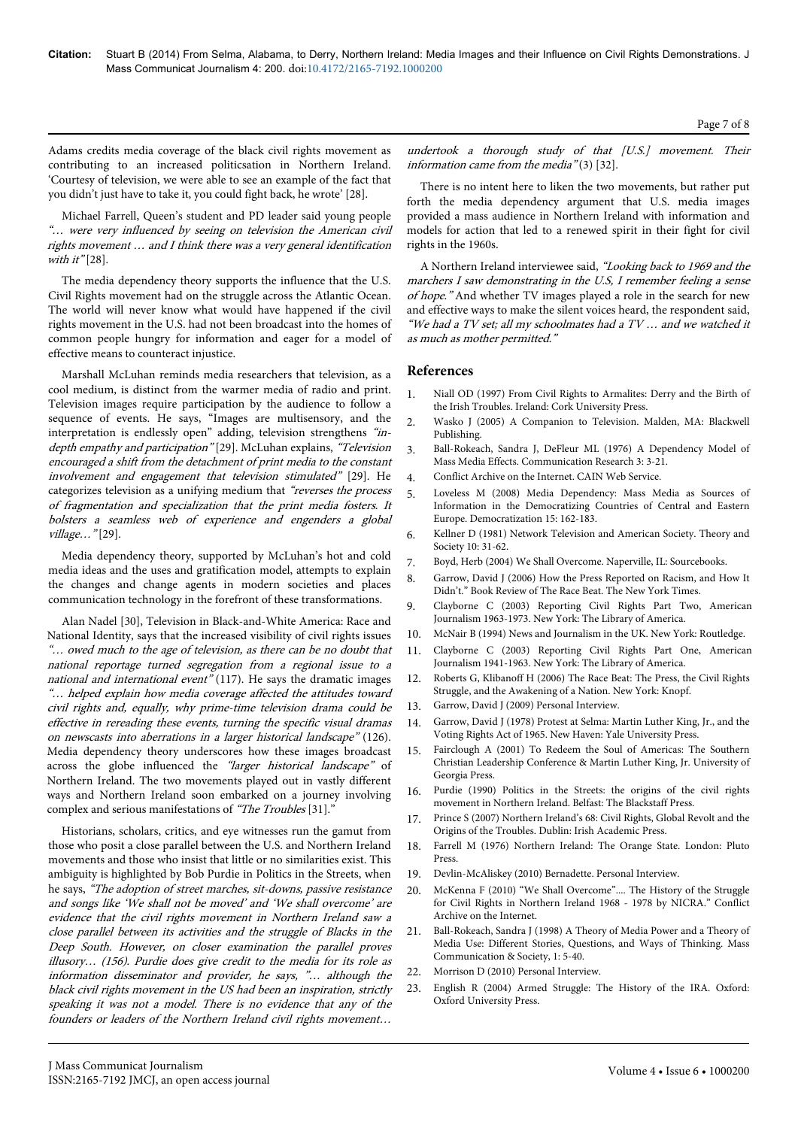Adams credits media coverage of the black civil rights movement as contributing to an increased politicsation in Northern Ireland. 'Courtesy of television, we were able to see an example of the fact that you didn't just have to take it, you could fight back, he wrote' [28].

Michael Farrell, Queen's student and PD leader said young people "… were very influenced by seeing on television the American civil rights movement … and I think there was a very general identification with it"[28].

The media dependency theory supports the influence that the U.S. Civil Rights movement had on the struggle across the Atlantic Ocean. The world will never know what would have happened if the civil rights movement in the U.S. had not been broadcast into the homes of common people hungry for information and eager for a model of effective means to counteract injustice.

Marshall McLuhan reminds media researchers that television, as a cool medium, is distinct from the warmer media of radio and print. Television images require participation by the audience to follow a sequence of events. He says, "Images are multisensory, and the interpretation is endlessly open" adding, television strengthens "indepth empathy and participation" [29]. McLuhan explains, "Television" encouraged a shift from the detachment of print media to the constant involvement and engagement that television stimulated" [29]. He categorizes television as a unifying medium that "reverses the process of fragmentation and specialization that the print media fosters. It bolsters a seamless web of experience and engenders a global village..."[29].

Media dependency theory, supported by McLuhan's hot and cold media ideas and the uses and gratification model, attempts to explain the changes and change agents in modern societies and places communication technology in the forefront of these transformations.

Alan Nadel [30], Television in Black-and-White America: Race and National Identity, says that the increased visibility of civil rights issues "… owed much to the age of television, as there can be no doubt that national reportage turned segregation from a regional issue to a national and international event" (117). He says the dramatic images "… helped explain how media coverage affected the attitudes toward civil rights and, equally, why prime-time television drama could be effective in rereading these events, turning the specific visual dramas on newscasts into aberrations in a larger historical landscape" (126). Media dependency theory underscores how these images broadcast across the globe influenced the "larger historical landscape" of Northern Ireland. The two movements played out in vastly different ways and Northern Ireland soon embarked on a journey involving complex and serious manifestations of "The Troubles [31]."

Historians, scholars, critics, and eye witnesses run the gamut from those who posit a close parallel between the U.S. and Northern Ireland movements and those who insist that little or no similarities exist. This ambiguity is highlighted by Bob Purdie in Politics in the Streets, when he says, "The adoption of street marches, sit-downs, passive resistance and songs like 'We shall not be moved' and 'We shall overcome' are evidence that the civil rights movement in Northern Ireland saw a close parallel between its activities and the struggle of Blacks in the Deep South. However, on closer examination the parallel proves illusory… (156). Purdie does give credit to the media for its role as information disseminator and provider, he says, "… although the black civil rights movement in the US had been an inspiration, strictly speaking it was not a model. There is no evidence that any of the founders or leaders of the Northern Ireland civil rights movement…

undertook a thorough study of that [U.S.] movement. Their information came from the media" (3) [32].

There is no intent here to liken the two movements, but rather put forth the media dependency argument that U.S. media images provided a mass audience in Northern Ireland with information and models for action that led to a renewed spirit in their fight for civil rights in the 1960s.

A Northern Ireland interviewee said, "Looking back to 1969 and the marchers I saw demonstrating in the U.S, I remember feeling a sense of hope." And whether TV images played a role in the search for new and effective ways to make the silent voices heard, the respondent said, "We had a TV set; all my schoolmates had a TV … and we watched it as much as mother permitted."

#### **References**

- 1. [Niall OD \(1997\) From Civil Rights to Armalites: Derry and the Birth of](http://cain.ulst.ac.uk/events/troops/chap4.htm) [the Irish Troubles. Ireland: Cork University Press.](http://cain.ulst.ac.uk/events/troops/chap4.htm)
- 2. [Wasko J \(2005\) A Companion to Television. Malden, MA: Blackwell](https://is.muni.cz/el/1421/jaro2013/FAV250/um/ebooksclub.org__A_Companion_To_Television.txt) [Publishing.](https://is.muni.cz/el/1421/jaro2013/FAV250/um/ebooksclub.org__A_Companion_To_Television.txt)
- 3. [Ball-Rokeach, Sandra J, DeFleur ML \(1976\) A Dependency Model of](http://crx.sagepub.com/content/3/1/3.abstract) [Mass Media Effects. Communication Research 3: 3-21.](http://crx.sagepub.com/content/3/1/3.abstract)
- 4. Conflict Archive on the Internet. CAIN Web Service.
- 5. [Loveless M \(2008\) Media Dependency: Mass Media as Sources of](http://www.tandfonline.com/doi/abs/10.1080/13510340701770030) [Information in the Democratizing Countries of Central and Eastern](http://www.tandfonline.com/doi/abs/10.1080/13510340701770030) [Europe. Democratization 15: 162-183.](http://www.tandfonline.com/doi/abs/10.1080/13510340701770030)
- 6. [Kellner D \(1981\) Network Television and American Society. Theory and](http://link.springer.com/article/10.1007/BF00209562) [Society 10: 31-62.](http://link.springer.com/article/10.1007/BF00209562)
- 7. [Boyd, Herb \(2004\) We Shall Overcome. Naperville, IL: Sourcebooks.](http://www.google.co.in/url?sa=t&rct=j&q=&esrc=s&source=web&cd=6&ved=0CDEQFjAF&url=http%3A%2F%2Fsearch.barnesandnoble.com%2Fused%2Fproduct.asp%3FEAN%3D2698426967366%26Itm%3D1&ei=F5q7U8-bGtWHuATo_ICYDQ&usg=AFQjCNHr2EqHdiZLMBeItR2UvAgfcP6oiw&bvm=bv.70138588,d.c2E&cad=rja)
- 8. [Garrow, David J \(2006\) How the Press Reported on Racism, and How It](http://www.nytimes.com/2006/11/22/books/22garr.html?_r=0) [Didn't." Book Review of The Race Beat. The New York Times.](http://www.nytimes.com/2006/11/22/books/22garr.html?_r=0)
- 9. Clayborne C [\(2003\) Reporting Civil Rights Part Two, American](http://www.amazon.com/Reporting-Civil-Rights-Part-Two/dp/1931082294) [Journalism 1963-1973. New York: The Library of America.](http://www.amazon.com/Reporting-Civil-Rights-Part-Two/dp/1931082294)
- 10. [McNair B \(1994\) News and Journalism in the UK. New York: Routledge.](http://books.google.co.in/books/about/News_and_Journalism_in_the_UK.html?id=8YUOAAAAQAAJ&redir_esc=y)
- 11. Clayborne C [\(2003\) Reporting Civil Rights Part One, American](http://www.amazon.com/Reporting-Civil-Rights-Part-One/dp/1931082286) [Journalism 1941-1963. New York: The Library of America.](http://www.amazon.com/Reporting-Civil-Rights-Part-One/dp/1931082286)
- 12. [Roberts G, Klibanoff H \(2006\) The Race Beat: The Press, the Civil Rights](http://www.h-net.org/reviews/showrev.php?id=13106) [Struggle, and the Awakening of a Nation. New York: Knopf.](http://www.h-net.org/reviews/showrev.php?id=13106)
- 13. Garrow, David J (2009) Personal Interview.
- 14. [Garrow, David J \(1978\) Protest at Selma: Martin Luther King, Jr., and the](http://www.newrepublic.com/article/books-and-arts/protest-selma-martin-luther-king-jr-the-voting-rights-act-1965-0) [Voting Rights Act of 1965. New Haven: Yale University Press.](http://www.newrepublic.com/article/books-and-arts/protest-selma-martin-luther-king-jr-the-voting-rights-act-1965-0)
- 15. [Fairclough A \(2001\) To Redeem the Soul of Americas: The Southern](http://www.ugapress.org/index.php/books/to_redeem_soul_of_america) [Christian Leadership Conference & Martin Luther King, Jr. University of](http://www.ugapress.org/index.php/books/to_redeem_soul_of_america) [Georgia Press.](http://www.ugapress.org/index.php/books/to_redeem_soul_of_america)
- 16. [Purdie \(1990\) Politics in the Streets: the origins of the civil rights](http://books.google.co.in/books/about/Politics_in_the_streets.html?id=Lo1nAAAAMAAJ&redir_esc=y) [movement in Northern Ireland. Belfast: The Blackstaff Press.](http://books.google.co.in/books/about/Politics_in_the_streets.html?id=Lo1nAAAAMAAJ&redir_esc=y)
- [Prince S \(2007\) Northern Ireland's 68: Civil Rights, Global Revolt and the](http://www.amazon.com/Northern-Irelands-68-Origins-Troubles/dp/071652869X) [Origins of the Troubles. Dublin: Irish Academic Press.](http://www.amazon.com/Northern-Irelands-68-Origins-Troubles/dp/071652869X)
- 18. [Farrell M \(1976\) Northern Ireland: The Orange State. London: Pluto](http://books.google.co.in/books/about/Northern_Ireland.html?id=sFGgPwAACAAJ&redir_esc=y) [Press.](http://books.google.co.in/books/about/Northern_Ireland.html?id=sFGgPwAACAAJ&redir_esc=y)
- 19. Devlin-McAliskey (2010) Bernadette. Personal Interview.
- 20. [McKenna F \(2010\) "We Shall Overcome".... The History of the Struggle](http://cain.ulst.ac.uk/events/crights/nicra/nicra782.htm) [for Civil Rights in Northern Ireland 1968 - 1978 by NICRA." Conflict](http://cain.ulst.ac.uk/events/crights/nicra/nicra782.htm) [Archive on the Internet.](http://cain.ulst.ac.uk/events/crights/nicra/nicra782.htm)
- 21. [Ball-Rokeach, Sandra J \(1998\) A Theory of Media Power and a Theory of](http://www.tandfonline.com/doi/abs/10.1080/15205436.1998.9676398) [Media Use: Different Stories, Questions, and Ways of Thinking. Mass](http://www.tandfonline.com/doi/abs/10.1080/15205436.1998.9676398) [Communication & Society, 1: 5-40.](http://www.tandfonline.com/doi/abs/10.1080/15205436.1998.9676398)
- 22. Morrison D (2010) Personal Interview.
- 23. [English R \(2004\) Armed Struggle: The History of the IRA. Oxford:](http://books.google.co.in/books/about/Armed_Struggle.html?id=VFPiMw8iLyAC) [Oxford University Press.](http://books.google.co.in/books/about/Armed_Struggle.html?id=VFPiMw8iLyAC)